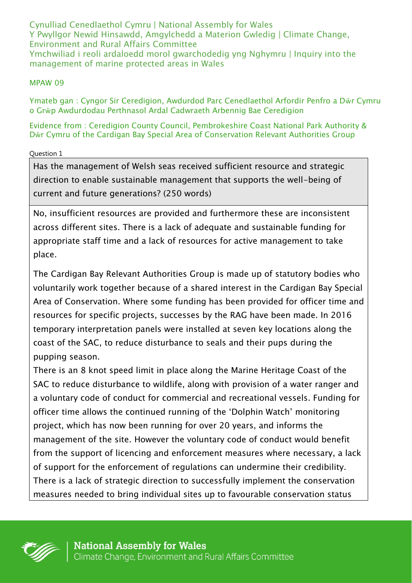Cynulliad Cenedlaethol Cymru | National Assembly for Wales Y Pwyllgor Newid Hinsawdd, Amgylchedd a Materion Gwledig | Climate Change, Environment and Rural Affairs Committee Ymchwiliad i reoli ardaloedd morol gwarchodedig yng Nghymru | Inquiry into the management of marine protected areas in Wales

## MPAW 09

Ymateb gan : Cyngor Sir Ceredigion, Awdurdod Parc Cenedlaethol Arfordir Penfro a Dŵr Cymru o Grŵp Awdurdodau Perthnasol Ardal Cadwraeth Arbennig Bae Ceredigion

Evidence from : Ceredigion County Council, Pembrokeshire Coast National Park Authority & Dŵr Cymru of the Cardigan Bay Special Area of Conservation Relevant Authorities Group

## Question 1

Has the management of Welsh seas received sufficient resource and strategic direction to enable sustainable management that supports the well-being of current and future generations? (250 words)

No, insufficient resources are provided and furthermore these are inconsistent across different sites. There is a lack of adequate and sustainable funding for appropriate staff time and a lack of resources for active management to take place.

The Cardigan Bay Relevant Authorities Group is made up of statutory bodies who voluntarily work together because of a shared interest in the Cardigan Bay Special Area of Conservation. Where some funding has been provided for officer time and resources for specific projects, successes by the RAG have been made. In 2016 temporary interpretation panels were installed at seven key locations along the coast of the SAC, to reduce disturbance to seals and their pups during the pupping season.

There is an 8 knot speed limit in place along the Marine Heritage Coast of the SAC to reduce disturbance to wildlife, along with provision of a water ranger and a voluntary code of conduct for commercial and recreational vessels. Funding for officer time allows the continued running of the 'Dolphin Watch' monitoring project, which has now been running for over 20 years, and informs the management of the site. However the voluntary code of conduct would benefit from the support of licencing and enforcement measures where necessary, a lack of support for the enforcement of regulations can undermine their credibility. There is a lack of strategic direction to successfully implement the conservation measures needed to bring individual sites up to favourable conservation status

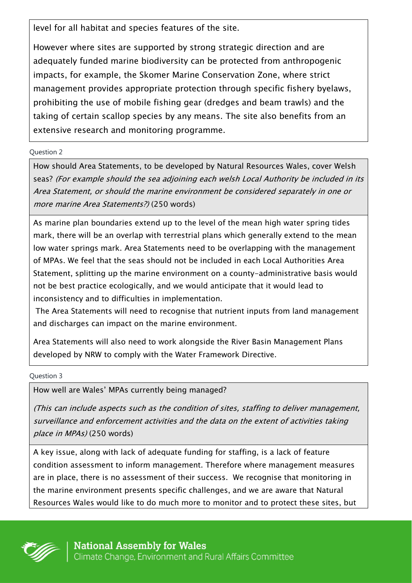level for all habitat and species features of the site.

However where sites are supported by strong strategic direction and are adequately funded marine biodiversity can be protected from anthropogenic impacts, for example, the Skomer Marine Conservation Zone, where strict management provides appropriate protection through specific fishery byelaws, prohibiting the use of mobile fishing gear (dredges and beam trawls) and the taking of certain scallop species by any means. The site also benefits from an extensive research and monitoring programme.

## Question 2

How should Area Statements, to be developed by Natural Resources Wales, cover Welsh seas? (For example should the sea adjoining each welsh Local Authority be included in its Area Statement, or should the marine environment be considered separately in one or more marine Area Statements?) (250 words)

As marine plan boundaries extend up to the level of the mean high water spring tides mark, there will be an overlap with terrestrial plans which generally extend to the mean low water springs mark. Area Statements need to be overlapping with the management of MPAs. We feel that the seas should not be included in each Local Authorities Area Statement, splitting up the marine environment on a county-administrative basis would not be best practice ecologically, and we would anticipate that it would lead to inconsistency and to difficulties in implementation.

The Area Statements will need to recognise that nutrient inputs from land management and discharges can impact on the marine environment.

Area Statements will also need to work alongside the River Basin Management Plans developed by NRW to comply with the Water Framework Directive.

Question 3

How well are Wales' MPAs currently being managed?

(This can include aspects such as the condition of sites, staffing to deliver management, surveillance and enforcement activities and the data on the extent of activities taking place in MPAs) (250 words)

A key issue, along with lack of adequate funding for staffing, is a lack of feature condition assessment to inform management. Therefore where management measures are in place, there is no assessment of their success. We recognise that monitoring in the marine environment presents specific challenges, and we are aware that Natural Resources Wales would like to do much more to monitor and to protect these sites, but

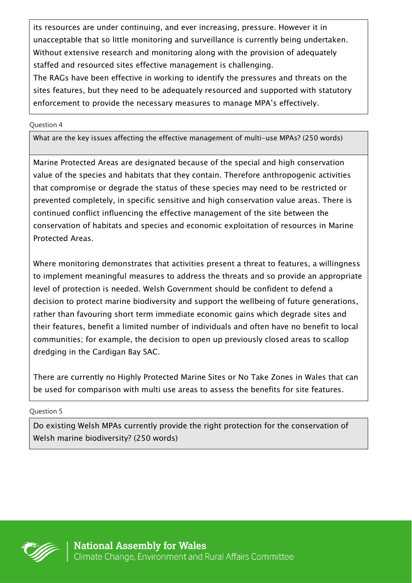its resources are under continuing, and ever increasing, pressure. However it in unacceptable that so little monitoring and surveillance is currently being undertaken. Without extensive research and monitoring along with the provision of adequately staffed and resourced sites effective management is challenging.

The RAGs have been effective in working to identify the pressures and threats on the sites features, but they need to be adequately resourced and supported with statutory enforcement to provide the necessary measures to manage MPA's effectively.

Question 4

What are the key issues affecting the effective management of multi-use MPAs? (250 words)

Marine Protected Areas are designated because of the special and high conservation value of the species and habitats that they contain. Therefore anthropogenic activities that compromise or degrade the status of these species may need to be restricted or prevented completely, in specific sensitive and high conservation value areas. There is continued conflict influencing the effective management of the site between the conservation of habitats and species and economic exploitation of resources in Marine Protected Areas.

Where monitoring demonstrates that activities present a threat to features, a willingness to implement meaningful measures to address the threats and so provide an appropriate level of protection is needed. Welsh Government should be confident to defend a decision to protect marine biodiversity and support the wellbeing of future generations, rather than favouring short term immediate economic gains which degrade sites and their features, benefit a limited number of individuals and often have no benefit to local communities; for example, the decision to open up previously closed areas to scallop dredging in the Cardigan Bay SAC.

There are currently no Highly Protected Marine Sites or No Take Zones in Wales that can be used for comparison with multi use areas to assess the benefits for site features.

Question 5

Do existing Welsh MPAs currently provide the right protection for the conservation of Welsh marine biodiversity? (250 words)

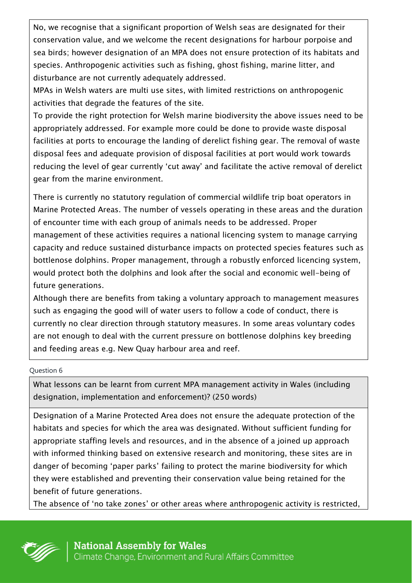No, we recognise that a significant proportion of Welsh seas are designated for their conservation value, and we welcome the recent designations for harbour porpoise and sea birds; however designation of an MPA does not ensure protection of its habitats and species. Anthropogenic activities such as fishing, ghost fishing, marine litter, and disturbance are not currently adequately addressed.

MPAs in Welsh waters are multi use sites, with limited restrictions on anthropogenic activities that degrade the features of the site.

To provide the right protection for Welsh marine biodiversity the above issues need to be appropriately addressed. For example more could be done to provide waste disposal facilities at ports to encourage the landing of derelict fishing gear. The removal of waste disposal fees and adequate provision of disposal facilities at port would work towards reducing the level of gear currently 'cut away' and facilitate the active removal of derelict gear from the marine environment.

There is currently no statutory regulation of commercial wildlife trip boat operators in Marine Protected Areas. The number of vessels operating in these areas and the duration of encounter time with each group of animals needs to be addressed. Proper management of these activities requires a national licencing system to manage carrying capacity and reduce sustained disturbance impacts on protected species features such as bottlenose dolphins. Proper management, through a robustly enforced licencing system, would protect both the dolphins and look after the social and economic well-being of future generations.

Although there are benefits from taking a voluntary approach to management measures such as engaging the good will of water users to follow a code of conduct, there is currently no clear direction through statutory measures. In some areas voluntary codes are not enough to deal with the current pressure on bottlenose dolphins key breeding and feeding areas e.g. New Quay harbour area and reef.

Question 6

What lessons can be learnt from current MPA management activity in Wales (including designation, implementation and enforcement)? (250 words)

Designation of a Marine Protected Area does not ensure the adequate protection of the habitats and species for which the area was designated. Without sufficient funding for appropriate staffing levels and resources, and in the absence of a joined up approach with informed thinking based on extensive research and monitoring, these sites are in danger of becoming 'paper parks' failing to protect the marine biodiversity for which they were established and preventing their conservation value being retained for the benefit of future generations.

The absence of 'no take zones' or other areas where anthropogenic activity is restricted,

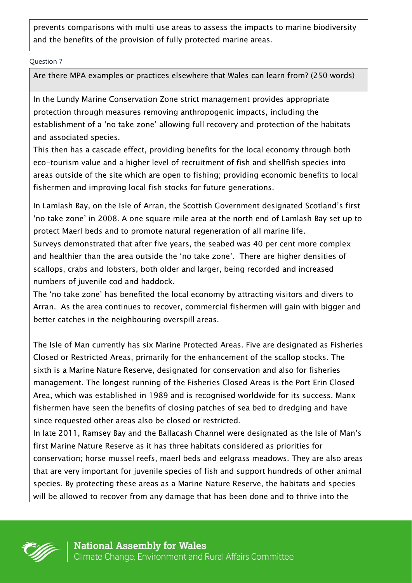prevents comparisons with multi use areas to assess the impacts to marine biodiversity and the benefits of the provision of fully protected marine areas.

Question 7

Are there MPA examples or practices elsewhere that Wales can learn from? (250 words)

In the Lundy Marine Conservation Zone strict management provides appropriate protection through measures removing anthropogenic impacts, including the establishment of a 'no take zone' allowing full recovery and protection of the habitats and associated species.

This then has a cascade effect, providing benefits for the local economy through both eco-tourism value and a higher level of recruitment of fish and shellfish species into areas outside of the site which are open to fishing; providing economic benefits to local fishermen and improving local fish stocks for future generations.

In Lamlash Bay, on the Isle of Arran, the Scottish Government designated Scotland's first 'no take zone' in 2008. A one square mile area at the north end of Lamlash Bay set up to protect Maerl beds and to promote natural regeneration of all marine life.

Surveys demonstrated that after five years, the seabed was 40 per cent more complex and healthier than the area outside the 'no take zone'. There are higher densities of scallops, crabs and lobsters, both older and larger, being recorded and increased numbers of juvenile cod and haddock.

The 'no take zone' has benefited the local economy by attracting visitors and divers to Arran. As the area continues to recover, commercial fishermen will gain with bigger and better catches in the neighbouring overspill areas.

The Isle of Man currently has six Marine Protected Areas. Five are designated as Fisheries Closed or Restricted Areas, primarily for the enhancement of the scallop stocks. The sixth is a Marine Nature Reserve, designated for conservation and also for fisheries management. The longest running of the Fisheries Closed Areas is the Port Erin Closed Area, which was established in 1989 and is recognised worldwide for its success. Manx fishermen have seen the benefits of closing patches of sea bed to dredging and have since requested other areas also be closed or restricted.

In late 2011, Ramsey Bay and the Ballacash Channel were designated as the Isle of Man's first Marine Nature Reserve as it has three habitats considered as priorities for conservation; horse mussel reefs, maerl beds and eelgrass meadows. They are also areas that are very important for juvenile species of fish and support hundreds of other animal species. By protecting these areas as a Marine Nature Reserve, the habitats and species will be allowed to recover from any damage that has been done and to thrive into the

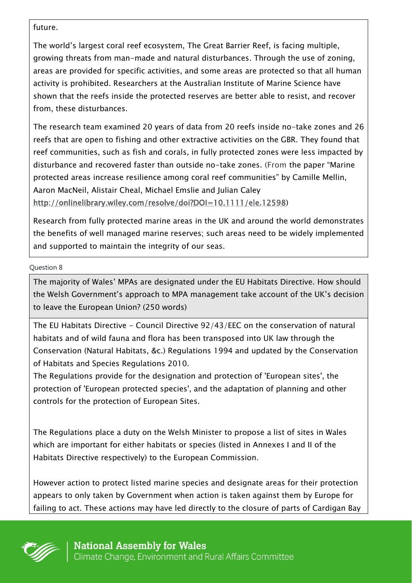future.

The world's largest coral reef ecosystem, The Great Barrier Reef, is facing multiple, growing threats from man-made and natural disturbances. Through the use of zoning, areas are provided for specific activities, and some areas are protected so that all human activity is prohibited. Researchers at the Australian Institute of Marine Science have shown that the reefs inside the protected reserves are better able to resist, and recover from, these disturbances.

The research team examined 20 years of data from 20 reefs inside no-take zones and 26 reefs that are open to fishing and other extractive activities on the GBR. They found that reef communities, such as fish and corals, in fully protected zones were less impacted by disturbance and recovered faster than outside no-take zones. (From the paper "Marine protected areas increase resilience among coral reef communities" by Camille Mellin, Aaron MacNeil, Alistair Cheal, Michael Emslie and Julian Caley [http://onlinelibrary.wiley.com/resolve/doi?DOI=10.1111/ele.12598\)](http://onlinelibrary.wiley.com/resolve/doi?DOI=10.1111/ele.12598)

Research from fully protected marine areas in the UK and around the world demonstrates the benefits of well managed marine reserves; such areas need to be widely implemented and supported to maintain the integrity of our seas.

Question 8

The majority of Wales' MPAs are designated under the EU Habitats Directive. How should the Welsh Government's approach to MPA management take account of the UK's decision to leave the European Union? (250 words)

The EU Habitats Directive - Council Directive 92/43/EEC on the conservation of natural habitats and of wild fauna and flora has been transposed into UK law through the Conservation (Natural Habitats, &c.) Regulations 1994 and updated by the Conservation of Habitats and Species Regulations 2010.

The Regulations provide for the designation and protection of 'European sites', the protection of 'European protected species', and the adaptation of planning and other controls for the protection of European Sites.

The Regulations place a duty on the Welsh Minister to propose a list of sites in Wales which are important for either habitats or species (listed in Annexes I and II of the Habitats Directive respectively) to the European Commission.

However action to protect listed marine species and designate areas for their protection appears to only taken by Government when action is taken against them by Europe for failing to act. These actions may have led directly to the closure of parts of Cardigan Bay

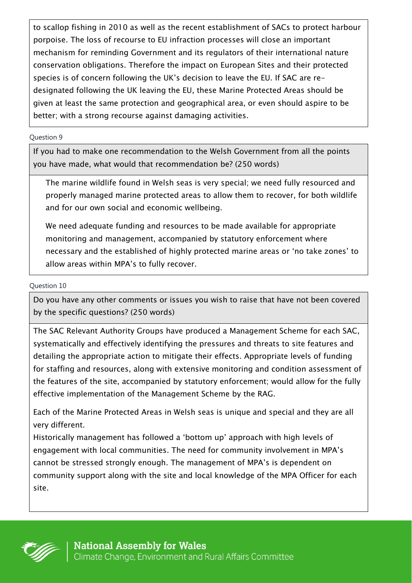to scallop fishing in 2010 as well as the recent establishment of SACs to protect harbour porpoise. The loss of recourse to EU infraction processes will close an important mechanism for reminding Government and its regulators of their international nature conservation obligations. Therefore the impact on European Sites and their protected species is of concern following the UK's decision to leave the EU. If SAC are redesignated following the UK leaving the EU, these Marine Protected Areas should be given at least the same protection and geographical area, or even should aspire to be better; with a strong recourse against damaging activities.

## Question 9

If you had to make one recommendation to the Welsh Government from all the points you have made, what would that recommendation be? (250 words)

The marine wildlife found in Welsh seas is very special; we need fully resourced and properly managed marine protected areas to allow them to recover, for both wildlife and for our own social and economic wellbeing.

We need adequate funding and resources to be made available for appropriate monitoring and management, accompanied by statutory enforcement where necessary and the established of highly protected marine areas or 'no take zones' to allow areas within MPA's to fully recover.

Question 10

Do you have any other comments or issues you wish to raise that have not been covered by the specific questions? (250 words)

The SAC Relevant Authority Groups have produced a Management Scheme for each SAC, systematically and effectively identifying the pressures and threats to site features and detailing the appropriate action to mitigate their effects. Appropriate levels of funding for staffing and resources, along with extensive monitoring and condition assessment of the features of the site, accompanied by statutory enforcement; would allow for the fully effective implementation of the Management Scheme by the RAG.

Each of the Marine Protected Areas in Welsh seas is unique and special and they are all very different.

Historically management has followed a 'bottom up' approach with high levels of engagement with local communities. The need for community involvement in MPA's cannot be stressed strongly enough. The management of MPA's is dependent on community support along with the site and local knowledge of the MPA Officer for each site.